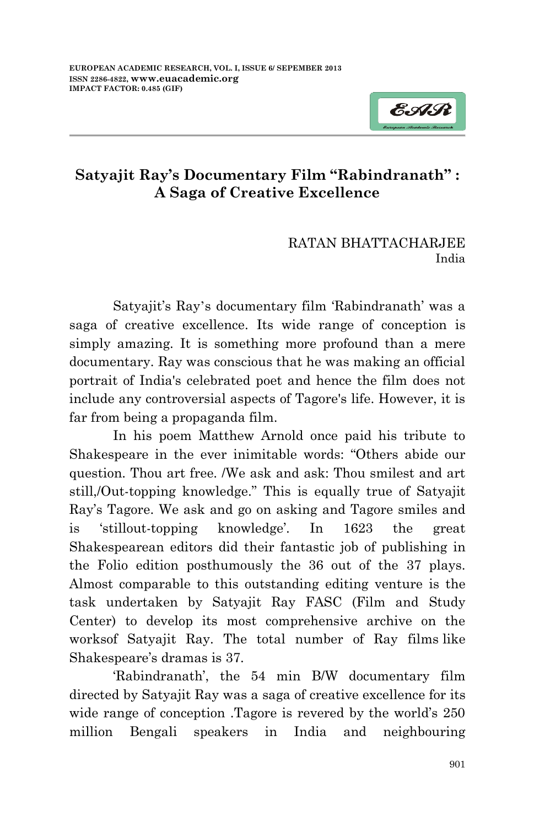

# **Satyajit Ray's Documentary Film "Rabindranath" : A Saga of Creative Excellence**

#### RATAN BHATTACHARJEE India

Satyajit's Ray's documentary film 'Rabindranath' was a saga of creative excellence. Its wide range of conception is simply amazing. It is something more profound than a mere documentary. Ray was conscious that he was making an official portrait of India's celebrated poet and hence the film does not include any controversial aspects of Tagore's life. However, it is far from being a propaganda film.

In his poem Matthew Arnold once paid his tribute to Shakespeare in the ever inimitable words: "Others abide our question. Thou art free. /We ask and ask: Thou smilest and art still,/Out-topping knowledge." This is equally true of Satyajit Ray"s Tagore. We ask and go on asking and Tagore smiles and is 'stillout-topping knowledge'. In 1623 the great Shakespearean editors did their fantastic job of publishing in the Folio edition posthumously the 36 out of the 37 plays. Almost comparable to this outstanding editing venture is the task undertaken by Satyajit Ray FASC (Film and Study Center) to develop its most comprehensive archive on the worksof Satyajit Ray. The total number of Ray films like Shakespeare"s dramas is 37.

"Rabindranath", the 54 min B/W documentary film directed by Satyajit Ray was a saga of creative excellence for its wide range of conception .Tagore is revered by the world's 250 million Bengali speakers in India and neighbouring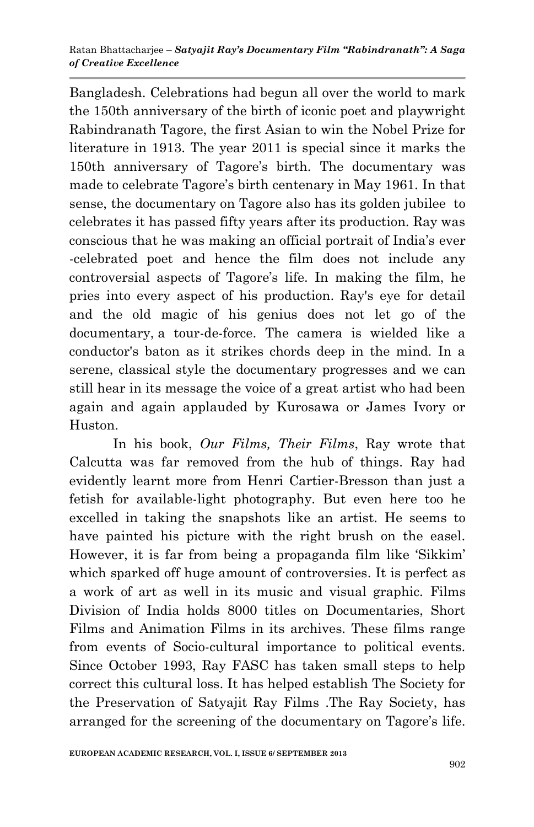Bangladesh. Celebrations had begun all over the world to mark the 150th anniversary of the birth of iconic poet and playwright Rabindranath Tagore, the first Asian to win the Nobel Prize for literature in 1913. The year 2011 is special since it marks the 150th anniversary of Tagore's birth. The documentary was made to celebrate Tagore's birth centenary in May 1961. In that sense, the documentary on Tagore also has its golden jubilee to celebrates it has passed fifty years after its production. Ray was conscious that he was making an official portrait of India"s ever -celebrated poet and hence the film does not include any controversial aspects of Tagore"s life. In making the film, he pries into every aspect of his production. Ray's eye for detail and the old magic of his genius does not let go of the documentary, a tour-de-force. The camera is wielded like a conductor's baton as it strikes chords deep in the mind. In a serene, classical style the documentary progresses and we can still hear in its message the voice of a great artist who had been again and again applauded by Kurosawa or James Ivory or Huston.

In his book, *Our Films, Their Films*, Ray wrote that Calcutta was far removed from the hub of things. Ray had evidently learnt more from Henri Cartier-Bresson than just a fetish for available-light photography. But even here too he excelled in taking the snapshots like an artist. He seems to have painted his picture with the right brush on the easel. However, it is far from being a propaganda film like "Sikkim" which sparked off huge amount of controversies. It is perfect as a work of art as well in its music and visual graphic. Films Division of India holds 8000 titles on Documentaries, Short Films and Animation Films in its archives. These films range from events of Socio-cultural importance to political events. Since October 1993, Ray FASC has taken small steps to help correct this cultural loss. It has helped establish The Society for the Preservation of Satyajit Ray Films .The Ray Society, has arranged for the screening of the documentary on Tagore's life.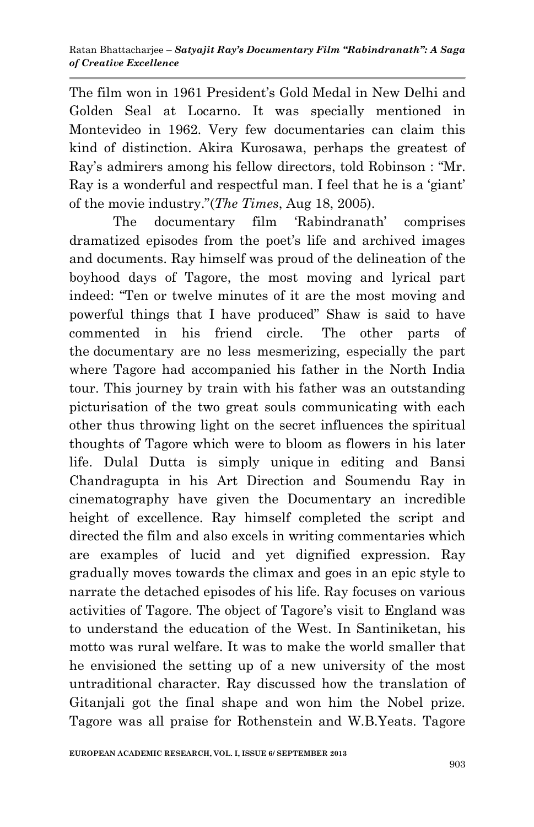The film won in 1961 President's Gold Medal in New Delhi and Golden Seal at Locarno. It was specially mentioned in Montevideo in 1962. Very few documentaries can claim this kind of distinction. Akira Kurosawa, perhaps the greatest of Ray's admirers among his fellow directors, told Robinson : "Mr. Ray is a wonderful and respectful man. I feel that he is a "giant" of the movie industry."(*The Times*, Aug 18, 2005).

The documentary film 'Rabindranath' comprises dramatized episodes from the poet's life and archived images and documents. Ray himself was proud of the delineation of the boyhood days of Tagore, the most moving and lyrical part indeed: "Ten or twelve minutes of it are the most moving and powerful things that I have produced" Shaw is said to have commented in his friend circle. The other parts of the documentary are no less mesmerizing, especially the part where Tagore had accompanied his father in the North India tour. This journey by train with his father was an outstanding picturisation of the two great souls communicating with each other thus throwing light on the secret influences the spiritual thoughts of Tagore which were to bloom as flowers in his later life. Dulal Dutta is simply unique in editing and Bansi Chandragupta in his Art Direction and Soumendu Ray in cinematography have given the Documentary an incredible height of excellence. Ray himself completed the script and directed the film and also excels in writing commentaries which are examples of lucid and yet dignified expression. Ray gradually moves towards the climax and goes in an epic style to narrate the detached episodes of his life. Ray focuses on various activities of Tagore. The object of Tagore's visit to England was to understand the education of the West. In Santiniketan, his motto was rural welfare. It was to make the world smaller that he envisioned the setting up of a new university of the most untraditional character. Ray discussed how the translation of Gitanjali got the final shape and won him the Nobel prize. Tagore was all praise for Rothenstein and W.B.Yeats. Tagore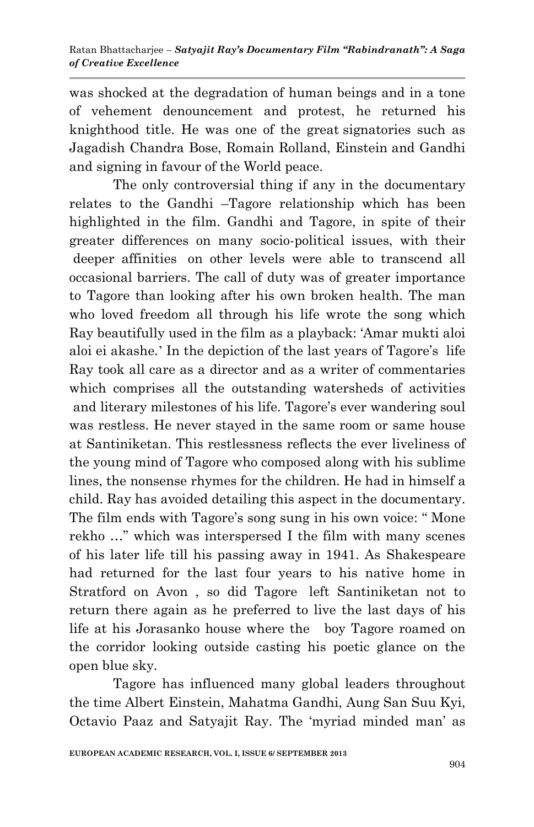was shocked at the degradation of human beings and in a tone of vehement denouncement and protest, he returned his knighthood title. He was one of the great signatories such as Jagadish Chandra Bose, Romain Rolland, Einstein and Gandhi and signing in favour of the World peace.

The only controversial thing if any in the documentary relates to the Gandhi –Tagore relationship which has been highlighted in the film. Gandhi and Tagore, in spite of their greater differences on many socio-political issues, with their deeper affinities on other levels were able to transcend all occasional barriers. The call of duty was of greater importance to Tagore than looking after his own broken health. The man who loved freedom all through his life wrote the song which Ray beautifully used in the film as a playback: "Amar mukti aloi aloi ei akashe.' In the depiction of the last years of Tagore's life Ray took all care as a director and as a writer of commentaries which comprises all the outstanding watersheds of activities and literary milestones of his life. Tagore's ever wandering soul was restless. He never stayed in the same room or same house at Santiniketan. This restlessness reflects the ever liveliness of the young mind of Tagore who composed along with his sublime lines, the nonsense rhymes for the children. He had in himself a child. Ray has avoided detailing this aspect in the documentary. The film ends with Tagore's song sung in his own voice: "Mone" rekho …" which was interspersed I the film with many scenes of his later life till his passing away in 1941. As Shakespeare had returned for the last four years to his native home in Stratford on Avon , so did Tagore left Santiniketan not to return there again as he preferred to live the last days of his life at his Jorasanko house where the boy Tagore roamed on the corridor looking outside casting his poetic glance on the open blue sky.

Tagore has influenced many global leaders throughout the time Albert Einstein, Mahatma Gandhi, Aung San Suu Kyi, Octavio Paaz and Satyajit Ray. The "myriad minded man" as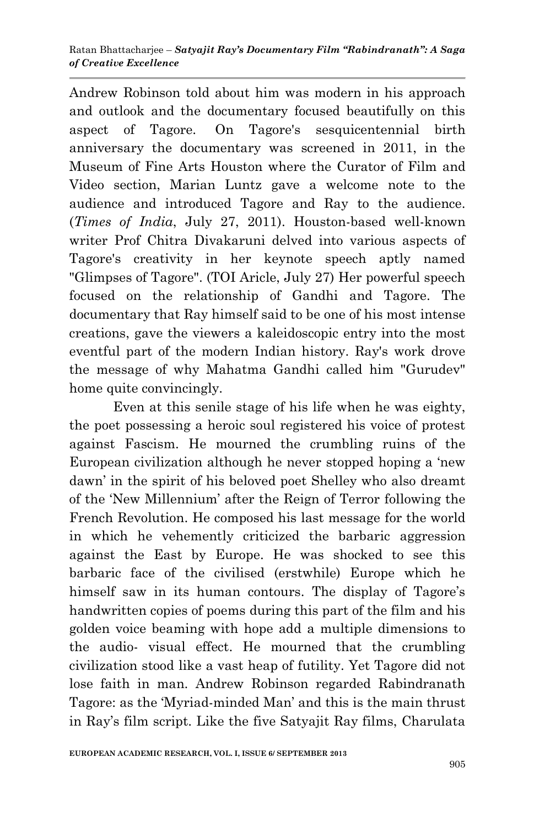Andrew Robinson told about him was modern in his approach and outlook and the documentary focused beautifully on this aspect of Tagore. On Tagore's sesquicentennial birth anniversary the documentary was screened in 2011, in the Museum of Fine Arts Houston where the Curator of Film and Video section, Marian Luntz gave a welcome note to the audience and introduced Tagore and Ray to the audience. (*Times of India*, July 27, 2011). Houston-based well-known writer Prof Chitra Divakaruni delved into various aspects of Tagore's creativity in her keynote speech aptly named "Glimpses of Tagore". (TOI Aricle, July 27) Her powerful speech focused on the relationship of Gandhi and Tagore. The documentary that Ray himself said to be one of his most intense creations, gave the viewers a kaleidoscopic entry into the most eventful part of the modern Indian history. Ray's work drove the message of why Mahatma Gandhi called him "Gurudev" home quite convincingly.

Even at this senile stage of his life when he was eighty, the poet possessing a heroic soul registered his voice of protest against Fascism. He mourned the crumbling ruins of the European civilization although he never stopped hoping a "new dawn" in the spirit of his beloved poet Shelley who also dreamt of the "New Millennium" after the Reign of Terror following the French Revolution. He composed his last message for the world in which he vehemently criticized the barbaric aggression against the East by Europe. He was shocked to see this barbaric face of the civilised (erstwhile) Europe which he himself saw in its human contours. The display of Tagore's handwritten copies of poems during this part of the film and his golden voice beaming with hope add a multiple dimensions to the audio- visual effect. He mourned that the crumbling civilization stood like a vast heap of futility. Yet Tagore did not lose faith in man. Andrew Robinson regarded Rabindranath Tagore: as the "Myriad-minded Man" and this is the main thrust in Ray"s film script. Like the five Satyajit Ray films, Charulata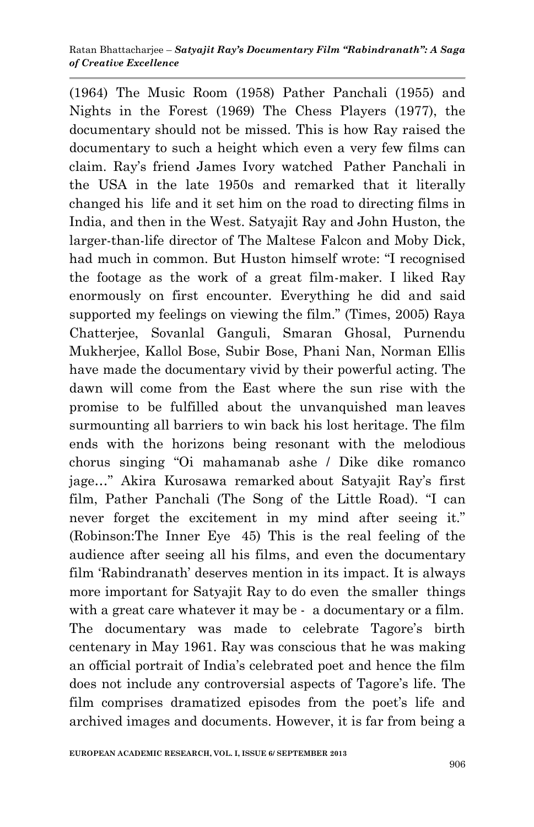(1964) The Music Room (1958) Pather Panchali (1955) and Nights in the Forest (1969) The Chess Players (1977), the documentary should not be missed. This is how Ray raised the documentary to such a height which even a very few films can claim. Ray"s friend James Ivory watched Pather Panchali in the USA in the late 1950s and remarked that it literally changed his life and it set him on the road to directing films in India, and then in the West. Satyajit Ray and John Huston, the larger-than-life director of The Maltese Falcon and Moby Dick, had much in common. But Huston himself wrote: "I recognised the footage as the work of a great film-maker. I liked Ray enormously on first encounter. Everything he did and said supported my feelings on viewing the film." (Times, 2005) Raya Chatterjee, Sovanlal Ganguli, Smaran Ghosal, Purnendu Mukherjee, Kallol Bose, Subir Bose, Phani Nan, Norman Ellis have made the documentary vivid by their powerful acting. The dawn will come from the East where the sun rise with the promise to be fulfilled about the unvanquished man leaves surmounting all barriers to win back his lost heritage. The film ends with the horizons being resonant with the melodious chorus singing "Oi mahamanab ashe / Dike dike romanco jage…" Akira Kurosawa remarked about Satyajit Ray"s first film, Pather Panchali (The Song of the Little Road). "I can never forget the excitement in my mind after seeing it." (Robinson:The Inner Eye 45) This is the real feeling of the audience after seeing all his films, and even the documentary film 'Rabindranath' deserves mention in its impact. It is always more important for Satyajit Ray to do even the smaller things with a great care whatever it may be - a documentary or a film. The documentary was made to celebrate Tagore's birth centenary in May 1961. Ray was conscious that he was making an official portrait of India"s celebrated poet and hence the film does not include any controversial aspects of Tagore"s life. The film comprises dramatized episodes from the poet's life and archived images and documents. However, it is far from being a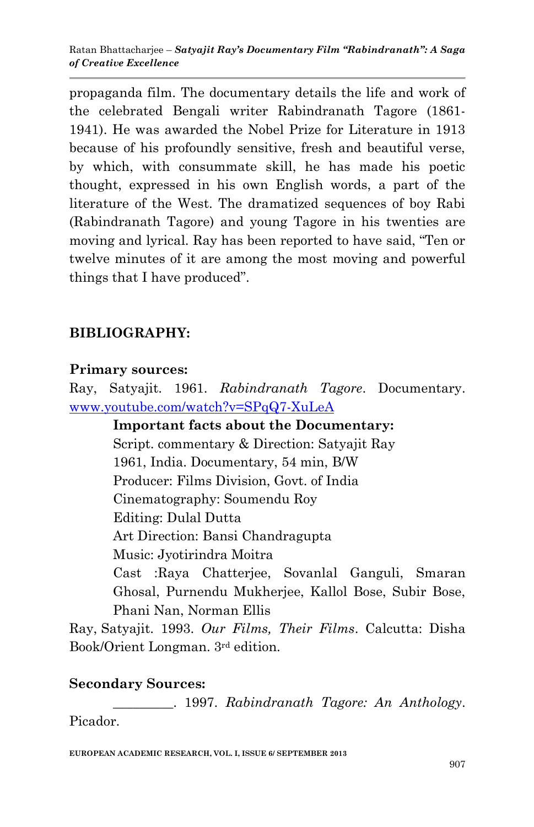propaganda film. The documentary details the life and work of the celebrated Bengali writer Rabindranath Tagore (1861- 1941). He was awarded the Nobel Prize for Literature in 1913 because of his profoundly sensitive, fresh and beautiful verse, by which, with consummate skill, he has made his poetic thought, expressed in his own English words, a part of the literature of the West. The dramatized sequences of boy Rabi (Rabindranath Tagore) and young Tagore in his twenties are moving and lyrical. Ray has been reported to have said, "Ten or twelve minutes of it are among the most moving and powerful things that I have produced".

## **BIBLIOGRAPHY:**

#### **Primary sources:**

Ray, Satyajit. 1961. *Rabindranath Tagore*. Documentary. [www.youtube.com/watch?v=SPqQ7-XuLeA](http://www.youtube.com/watch?v=SPqQ7-XuLeA)

> **Important facts about the Documentary:** Script. commentary & Direction: Satyajit Ray 1961, India. Documentary, 54 min, B/W Producer: Films Division, Govt. of India Cinematography: Soumendu Roy Editing: Dulal Dutta Art Direction: Bansi Chandragupta Music: Jyotirindra Moitra Cast :Raya Chatterjee, Sovanlal Ganguli, Smaran Ghosal, Purnendu Mukherjee, Kallol Bose, Subir Bose, Phani Nan, Norman Ellis

Ray, Satyajit. 1993. *Our Films, Their Films*. Calcutta: Disha Book/Orient Longman. 3rd edition.

## **Secondary Sources:**

\_\_\_\_\_\_\_\_\_. 1997. *Rabindranath Tagore: An Anthology*. Picador.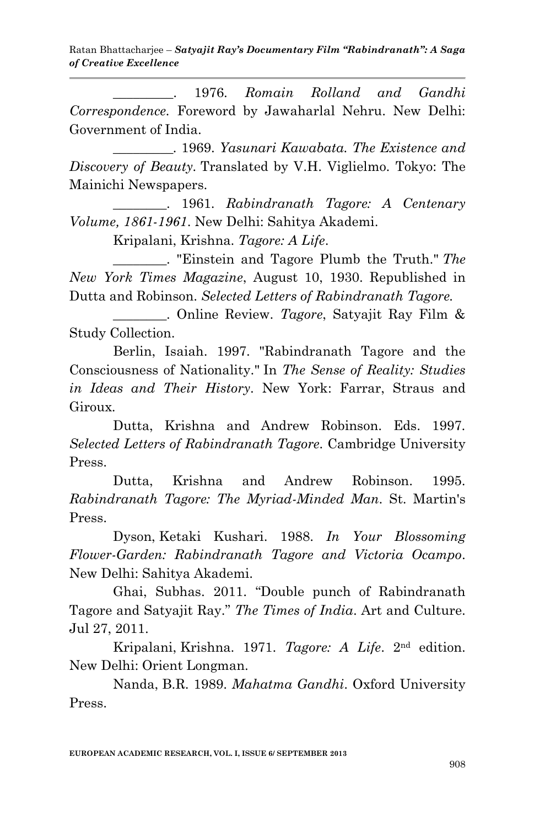Ratan Bhattacharjee – *Satyajit Ray's Documentary Film "Rabindranath": A Saga of Creative Excellence*

\_\_\_\_\_\_\_\_\_. 1976. *Romain Rolland and Gandhi Correspondence.* Foreword by Jawaharlal Nehru. New Delhi: Government of India.

*\_\_\_\_\_\_\_\_\_.* 1969. *Yasunari Kawabata. The Existence and Discovery of Beauty.* Translated by V.H. Viglielmo. Tokyo: The Mainichi Newspapers.

\_\_\_\_\_\_\_\_. 1961. *Rabindranath Tagore: A Centenary Volume, 1861-1961*. New Delhi: Sahitya Akademi.

Kripalani, Krishna. *Tagore: A Life*.

\_\_\_\_\_\_\_\_. "Einstein and Tagore Plumb the Truth." *The New York Times Magazine*, August 10, 1930. Republished in Dutta and Robinson. *Selected Letters of Rabindranath Tagore.*

\_\_\_\_\_\_\_\_. Online Review. *Tagore*, Satyajit Ray Film & Study Collection.

Berlin, Isaiah. 1997. "Rabindranath Tagore and the Consciousness of Nationality." In *The Sense of Reality: Studies in Ideas and Their History*. New York: Farrar, Straus and Giroux.

Dutta, Krishna and Andrew Robinson. Eds. 1997. *Selected Letters of Rabindranath Tagore.* Cambridge University Press.

Dutta, Krishna and Andrew Robinson. 1995. *Rabindranath Tagore: The Myriad-Minded Man*. St. Martin's Press.

Dyson, Ketaki Kushari. 1988. *In Your Blossoming Flower-Garden: Rabindranath Tagore and Victoria Ocampo*. New Delhi: Sahitya Akademi.

Ghai, Subhas. 2011. "Double punch of Rabindranath Tagore and Satyajit Ray." *The Times of India*. Art and Culture. Jul 27, 2011.

Kripalani, Krishna. 1971. *Tagore: A Life*. 2nd edition. New Delhi: Orient Longman.

Nanda, B.R. 1989. *Mahatma Gandhi*. Oxford University Press.